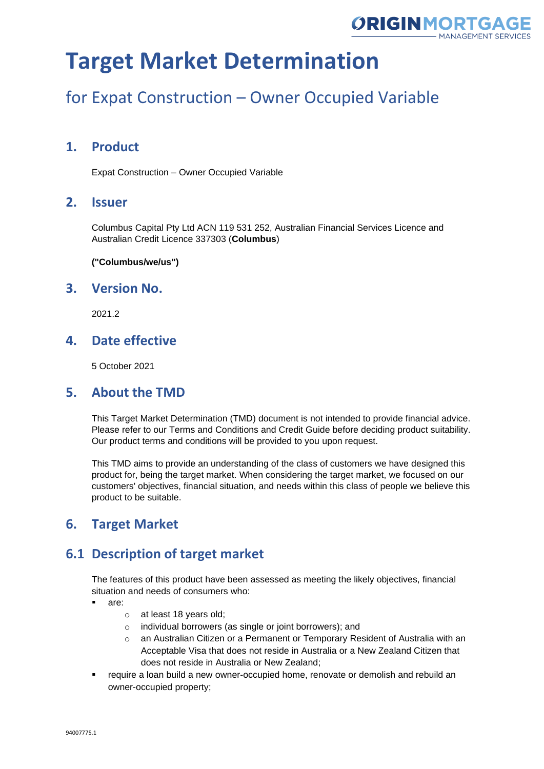

### for Expat Construction – Owner Occupied Variable

### **1. Product**

Expat Construction – Owner Occupied Variable

#### **2. Issuer**

Columbus Capital Pty Ltd ACN 119 531 252, Australian Financial Services Licence and Australian Credit Licence 337303 (**Columbus**)

**("Columbus/we/us")**

#### **3. Version No.**

2021.2

### **4. Date effective**

5 October 2021

#### **5. About the TMD**

This Target Market Determination (TMD) document is not intended to provide financial advice. Please refer to our Terms and Conditions and Credit Guide before deciding product suitability. Our product terms and conditions will be provided to you upon request.

This TMD aims to provide an understanding of the class of customers we have designed this product for, being the target market. When considering the target market, we focused on our customers' objectives, financial situation, and needs within this class of people we believe this product to be suitable.

### **6. Target Market**

### **6.1 Description of target market**

The features of this product have been assessed as meeting the likely objectives, financial situation and needs of consumers who:

- are:
	- o at least 18 years old;
	- o individual borrowers (as single or joint borrowers); and
	- o an Australian Citizen or a Permanent or Temporary Resident of Australia with an Acceptable Visa that does not reside in Australia or a New Zealand Citizen that does not reside in Australia or New Zealand;
- require a loan build a new owner-occupied home, renovate or demolish and rebuild an owner-occupied property;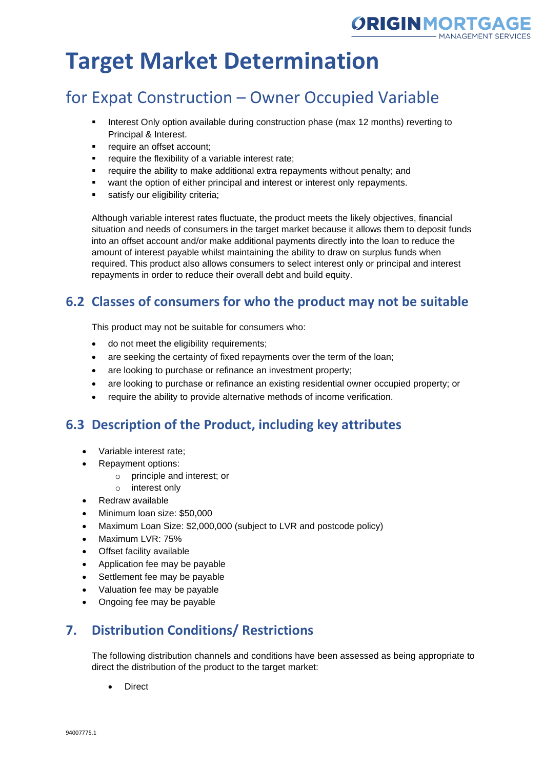

### for Expat Construction – Owner Occupied Variable

- **•** Interest Only option available during construction phase (max 12 months) reverting to Principal & Interest.
- require an offset account;
- require the flexibility of a variable interest rate;
- require the ability to make additional extra repayments without penalty; and
- want the option of either principal and interest or interest only repayments.
- satisfy our eligibility criteria;

Although variable interest rates fluctuate, the product meets the likely objectives, financial situation and needs of consumers in the target market because it allows them to deposit funds into an offset account and/or make additional payments directly into the loan to reduce the amount of interest payable whilst maintaining the ability to draw on surplus funds when required. This product also allows consumers to select interest only or principal and interest repayments in order to reduce their overall debt and build equity.

### **6.2 Classes of consumers for who the product may not be suitable**

This product may not be suitable for consumers who:

- do not meet the eligibility requirements;
- are seeking the certainty of fixed repayments over the term of the loan;
- are looking to purchase or refinance an investment property;
- are looking to purchase or refinance an existing residential owner occupied property; or
- require the ability to provide alternative methods of income verification.

### **6.3 Description of the Product, including key attributes**

- Variable interest rate;
- Repayment options:
	- o principle and interest; or
	- o interest only
- Redraw available
- Minimum loan size: \$50,000
- Maximum Loan Size: \$2,000,000 (subject to LVR and postcode policy)
- Maximum LVR: 75%
- Offset facility available
- Application fee may be payable
- Settlement fee may be payable
- Valuation fee may be payable
- Ongoing fee may be payable

### **7. Distribution Conditions/ Restrictions**

The following distribution channels and conditions have been assessed as being appropriate to direct the distribution of the product to the target market:

**Direct**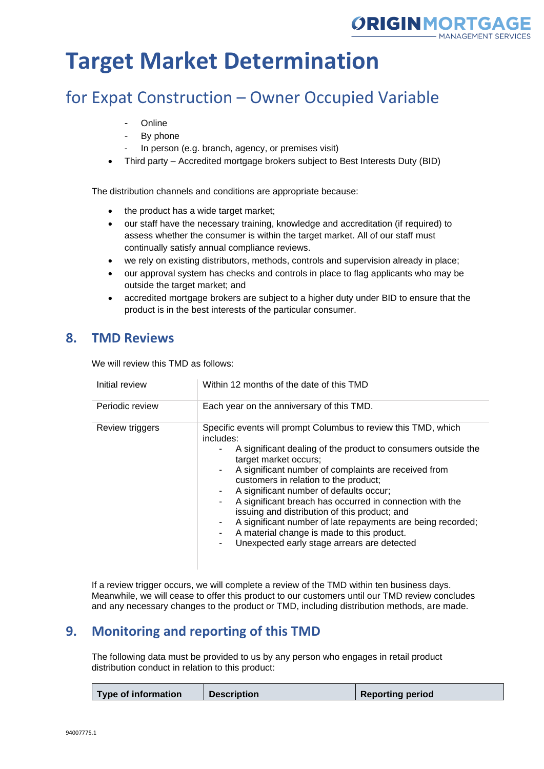

### for Expat Construction – Owner Occupied Variable

- **Online**
- By phone
- In person (e.g. branch, agency, or premises visit)
- Third party Accredited mortgage brokers subject to Best Interests Duty (BID)

The distribution channels and conditions are appropriate because:

- the product has a wide target market;
- our staff have the necessary training, knowledge and accreditation (if required) to assess whether the consumer is within the target market. All of our staff must continually satisfy annual compliance reviews.
- we rely on existing distributors, methods, controls and supervision already in place;
- our approval system has checks and controls in place to flag applicants who may be outside the target market; and
- accredited mortgage brokers are subject to a higher duty under BID to ensure that the product is in the best interests of the particular consumer.

#### **8. TMD Reviews**

We will review this TMD as follows:

| Initial review  | Within 12 months of the date of this TMD                                                                                                                                                                                                                                                                                                                                                                                                                                                                                                                                                   |
|-----------------|--------------------------------------------------------------------------------------------------------------------------------------------------------------------------------------------------------------------------------------------------------------------------------------------------------------------------------------------------------------------------------------------------------------------------------------------------------------------------------------------------------------------------------------------------------------------------------------------|
| Periodic review | Each year on the anniversary of this TMD.                                                                                                                                                                                                                                                                                                                                                                                                                                                                                                                                                  |
| Review triggers | Specific events will prompt Columbus to review this TMD, which<br>includes:<br>A significant dealing of the product to consumers outside the<br>target market occurs;<br>A significant number of complaints are received from<br>customers in relation to the product;<br>A significant number of defaults occur;<br>A significant breach has occurred in connection with the<br>issuing and distribution of this product; and<br>A significant number of late repayments are being recorded;<br>A material change is made to this product.<br>Unexpected early stage arrears are detected |

If a review trigger occurs, we will complete a review of the TMD within ten business days. Meanwhile, we will cease to offer this product to our customers until our TMD review concludes and any necessary changes to the product or TMD, including distribution methods, are made.

### **9. Monitoring and reporting of this TMD**

The following data must be provided to us by any person who engages in retail product distribution conduct in relation to this product:

|  | Type of information | <b>Description</b> | <b>Reporting period</b> |
|--|---------------------|--------------------|-------------------------|
|--|---------------------|--------------------|-------------------------|